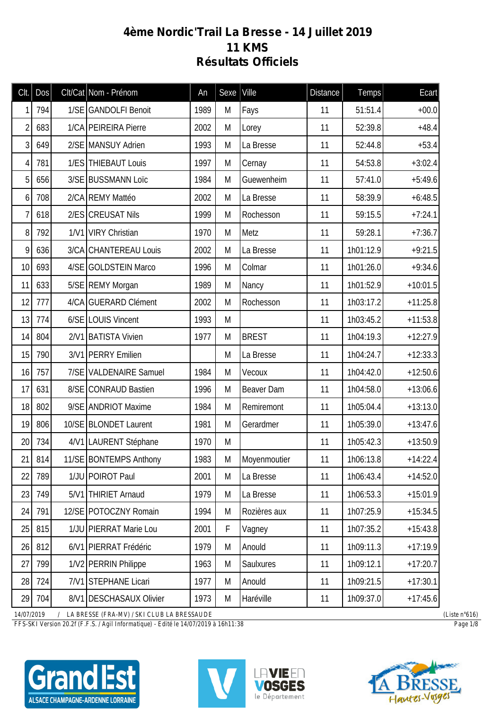## **4ème Nordic'Trail La Bresse - 14 Juillet 2019 11 KMS Résultats Officiels**

| Clt.           | Dos    | Clt/Cat Nom - Prénom    | An   | Sexe        | Ville        | <b>Distance</b> | Temps     | Ecart      |
|----------------|--------|-------------------------|------|-------------|--------------|-----------------|-----------|------------|
| 1              | 794    | 1/SE GANDOLFI Benoit    | 1989 | M           | Fays         | 11              | 51:51.4   | $+00.0$    |
| $\overline{2}$ | 683    | 1/CA PEIREIRA Pierre    | 2002 | M           | Lorey        | 11              | 52:39.8   | $+48.4$    |
| 3              | 649    | 2/SE MANSUY Adrien      | 1993 | M           | La Bresse    | 11              | 52:44.8   | $+53.4$    |
| 4              | 781    | 1/ES THIEBAUT Louis     | 1997 | M           | Cernay       | 11              | 54:53.8   | $+3:02.4$  |
| 5              | 656    | 3/SE BUSSMANN Loïc      | 1984 | M           | Guewenheim   | 11              | 57:41.0   | $+5:49.6$  |
| 6              | 708    | 2/CA REMY Mattéo        | 2002 | M           | La Bresse    | 11              | 58:39.9   | $+6:48.5$  |
| 7              | 618    | 2/ES CREUSAT Nils       | 1999 | M           | Rochesson    | 11              | 59:15.5   | $+7:24.1$  |
| 8              | 792    | 1/V1 VIRY Christian     | 1970 | M           | Metz         | 11              | 59:28.1   | $+7:36.7$  |
| 9              | 636    | 3/CA CHANTEREAU Louis   | 2002 | M           | La Bresse    | 11              | 1h01:12.9 | $+9:21.5$  |
| 10             | 693    | 4/SE GOLDSTEIN Marco    | 1996 | М           | Colmar       | 11              | 1h01:26.0 | $+9:34.6$  |
| 11             | 633    | 5/SE REMY Morgan        | 1989 | M           | Nancy        | 11              | 1h01:52.9 | $+10:01.5$ |
| 12             | 777    | 4/CA GUERARD Clément    | 2002 | M           | Rochesson    | 11              | 1h03:17.2 | $+11:25.8$ |
| 13             | 774    | 6/SE LOUIS Vincent      | 1993 | M           |              | 11              | 1h03:45.2 | $+11:53.8$ |
| 14             | 804    | 2/V1 BATISTA Vivien     | 1977 | M           | <b>BREST</b> | 11              | 1h04:19.3 | $+12:27.9$ |
| 15             | 790    | 3/V1 PERRY Emilien      |      | M           | La Bresse    | 11              | 1h04:24.7 | $+12:33.3$ |
| 16             | 757    | 7/SE VALDENAIRE Samuel  | 1984 | M           | Vecoux       | 11              | 1h04:42.0 | $+12:50.6$ |
| 17             | 631    | 8/SE CONRAUD Bastien    | 1996 | M           | Beaver Dam   | 11              | 1h04:58.0 | $+13:06.6$ |
| 18             | 802    | 9/SE ANDRIOT Maxime     | 1984 | M           | Remiremont   | 11              | 1h05:04.4 | $+13:13.0$ |
| 19             | 806    | 10/SE BLONDET Laurent   | 1981 | M           | Gerardmer    | 11              | 1h05:39.0 | $+13:47.6$ |
| 20             | 734    | 4/V1 LAURENT Stéphane   | 1970 | M           |              | 11              | 1h05:42.3 | $+13:50.9$ |
|                | 21 814 | 11/SE BONTEMPS Anthony  | 1983 | М           | Moyenmoutier | 11              | 1h06:13.8 | $+14:22.4$ |
| 22             | 789    | 1/JU POIROT Paul        | 2001 | M           | La Bresse    | 11              | 1h06:43.4 | $+14:52.0$ |
| 23             | 749    | 5/V1 THIRIET Arnaud     | 1979 | M           | La Bresse    | 11              | 1h06:53.3 | $+15:01.9$ |
| 24             | 791    | 12/SE POTOCZNY Romain   | 1994 | M           | Rozières aux | 11              | 1h07:25.9 | $+15:34.5$ |
| 25             | 815    | 1/JU PIERRAT Marie Lou  | 2001 | $\mathsf F$ | Vagney       | 11              | 1h07:35.2 | $+15:43.8$ |
| 26             | 812    | 6/V1 PIERRAT Frédéric   | 1979 | M           | Anould       | 11              | 1h09:11.3 | $+17:19.9$ |
| 27             | 799    | 1/V2 PERRIN Philippe    | 1963 | M           | Saulxures    | 11              | 1h09:12.1 | $+17:20.7$ |
| 28             | 724    | 7/V1 STEPHANE Licari    | 1977 | M           | Anould       | 11              | 1h09:21.5 | $+17:30.1$ |
| 29             | 704    | 8/V1 DESCHASAUX Olivier | 1973 | M           | Haréville    | 11              | 1h09:37.0 | $+17:45.6$ |

*14/07/2019 / LA BRESSE (FRA-MV) / SKI CLUB LA BRESSAUDE (Liste n°616)*

*FFS-SKI Version 20.2f (F.F.S. / Agil Informatique) - Edité le 14/07/2019 à 16h11:38 Page 1/8*

ALSACE CHAMPAGNE-ARDENNE LORRAINE





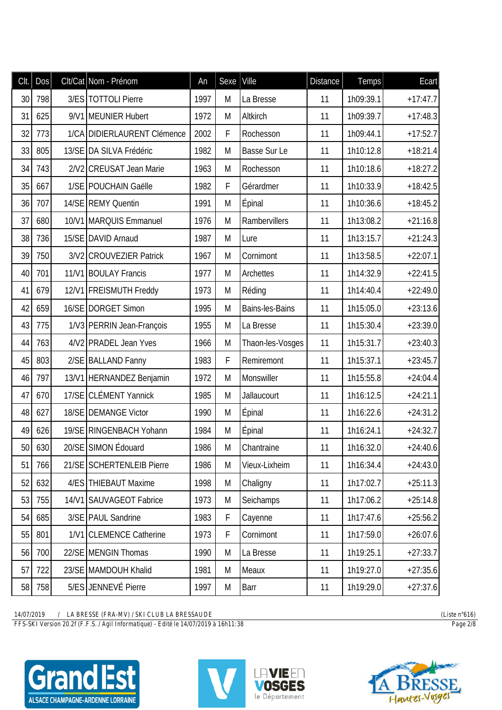| CIt. | Dos | Clt/Cat Nom - Prénom        | An   | Sexe | Ville            | <b>Distance</b> | <b>Temps</b> | Ecart      |
|------|-----|-----------------------------|------|------|------------------|-----------------|--------------|------------|
| 30   | 798 | 3/ES TOTTOLI Pierre         | 1997 | M    | La Bresse        | 11              | 1h09:39.1    | $+17:47.7$ |
| 31   | 625 | 9/V1 MEUNIER Hubert         | 1972 | M    | Altkirch         | 11              | 1h09:39.7    | $+17:48.3$ |
| 32   | 773 | 1/CA DIDIERLAURENT Clémence | 2002 | F    | Rochesson        | 11              | 1h09:44.1    | $+17:52.7$ |
| 33   | 805 | 13/SE DA SILVA Frédéric     | 1982 | M    | Basse Sur Le     | 11              | 1h10:12.8    | $+18:21.4$ |
| 34   | 743 | 2/V2 CREUSAT Jean Marie     | 1963 | M    | Rochesson        | 11              | 1h10:18.6    | $+18:27.2$ |
| 35   | 667 | 1/SE POUCHAIN Gaëlle        | 1982 | F    | Gérardmer        | 11              | 1h10:33.9    | $+18:42.5$ |
| 36   | 707 | 14/SE REMY Quentin          | 1991 | M    | <b>Épinal</b>    | 11              | 1h10:36.6    | $+18:45.2$ |
| 37   | 680 | 10/V1 MARQUIS Emmanuel      | 1976 | M    | Rambervillers    | 11              | 1h13:08.2    | $+21:16.8$ |
| 38   | 736 | 15/SE DAVID Arnaud          | 1987 | M    | Lure             | 11              | 1h13:15.7    | $+21:24.3$ |
| 39   | 750 | 3/V2 CROUVEZIER Patrick     | 1967 | M    | Cornimont        | 11              | 1h13:58.5    | $+22:07.1$ |
| 40   | 701 | 11/V1 BOULAY Francis        | 1977 | M    | Archettes        | 11              | 1h14:32.9    | $+22:41.5$ |
| 41   | 679 | 12/V1 FREISMUTH Freddy      | 1973 | M    | Réding           | 11              | 1h14:40.4    | $+22:49.0$ |
| 42   | 659 | 16/SE DORGET Simon          | 1995 | M    | Bains-les-Bains  | 11              | 1h15:05.0    | $+23:13.6$ |
| 43   | 775 | 1/V3 PERRIN Jean-François   | 1955 | M    | La Bresse        | 11              | 1h15:30.4    | $+23:39.0$ |
| 44   | 763 | 4/V2 PRADEL Jean Yves       | 1966 | M    | Thaon-les-Vosges | 11              | 1h15:31.7    | $+23:40.3$ |
| 45   | 803 | 2/SE BALLAND Fanny          | 1983 | F    | Remiremont       | 11              | 1h15:37.1    | $+23:45.7$ |
| 46   | 797 | 13/V1 HERNANDEZ Benjamin    | 1972 | M    | Monswiller       | 11              | 1h15:55.8    | $+24:04.4$ |
| 47   | 670 | 17/SE CLÉMENT Yannick       | 1985 | M    | Jallaucourt      | 11              | 1h16:12.5    | $+24:21.1$ |
| 48   | 627 | 18/SE DEMANGE Victor        | 1990 | M    | Épinal           | 11              | 1h16:22.6    | $+24:31.2$ |
| 49   | 626 | 19/SE RINGENBACH Yohann     | 1984 | M    | Épinal           | 11              | 1h16:24.1    | $+24:32.7$ |
| 50   | 630 | 20/SE SIMON Édouard         | 1986 | M    | Chantraine       | 11              | 1h16:32.0    | $+24:40.6$ |
| 51   | 766 | 21/SE SCHERTENLEIB Pierre   | 1986 | M    | Vieux-Lixheim    | 11              | 1h16:34.4    | $+24:43.0$ |
| 52   | 632 | 4/ES THIEBAUT Maxime        | 1998 | M    | Chaligny         | 11              | 1h17:02.7    | $+25:11.3$ |
| 53   | 755 | 14/V1 SAUVAGEOT Fabrice     | 1973 | M    | Seichamps        | 11              | 1h17:06.2    | $+25:14.8$ |
| 54   | 685 | 3/SE PAUL Sandrine          | 1983 | F    | Cayenne          | 11              | 1h17:47.6    | $+25:56.2$ |
| 55   | 801 | 1/V1 CLEMENCE Catherine     | 1973 | F    | Cornimont        | 11              | 1h17:59.0    | $+26:07.6$ |
| 56   | 700 | 22/SE MENGIN Thomas         | 1990 | M    | La Bresse        | 11              | 1h19:25.1    | $+27:33.7$ |
| 57   | 722 | 23/SE MAMDOUH Khalid        | 1981 | M    | Meaux            | 11              | 1h19:27.0    | $+27:35.6$ |
| 58   | 758 | 5/ES JENNEVÉ Pierre         | 1997 | M    | Barr             | 11              | 1h19:29.0    | $+27:37.6$ |

*FFS-SKI Version 20.2f (F.F.S. / Agil Informatique) - Edité le 14/07/2019 à 16h11:38 Page 2/8*





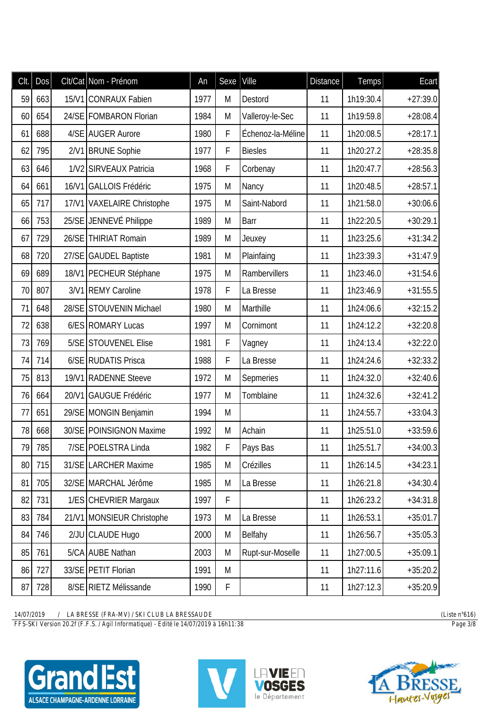| Clt. | Dos |       | Clt/Cat Nom - Prénom       | An   | Sexe | Ville             | <b>Distance</b> | <b>Temps</b> | Ecart      |
|------|-----|-------|----------------------------|------|------|-------------------|-----------------|--------------|------------|
| 59   | 663 |       | 15/V1 CONRAUX Fabien       | 1977 | M    | Destord           | 11              | 1h19:30.4    | $+27:39.0$ |
| 60   | 654 |       | 24/SE FOMBARON Florian     | 1984 | M    | Valleroy-le-Sec   | 11              | 1h19:59.8    | $+28:08.4$ |
| 61   | 688 |       | 4/SE AUGER Aurore          | 1980 | F    | Échenoz-la-Méline | 11              | 1h20:08.5    | $+28:17.1$ |
| 62   | 795 |       | 2/V1 BRUNE Sophie          | 1977 | F    | <b>Biesles</b>    | 11              | 1h20:27.2    | $+28:35.8$ |
| 63   | 646 |       | 1/V2 SIRVEAUX Patricia     | 1968 | F    | Corbenay          | 11              | 1h20:47.7    | $+28:56.3$ |
| 64   | 661 | 16/V1 | <b>GALLOIS Frédéric</b>    | 1975 | M    | Nancy             | 11              | 1h20:48.5    | $+28:57.1$ |
| 65   | 717 |       | 17/V1 VAXELAIRE Christophe | 1975 | M    | Saint-Nabord      | 11              | 1h21:58.0    | $+30:06.6$ |
| 66   | 753 |       | 25/SE JENNEVÉ Philippe     | 1989 | M    | Barr              | 11              | 1h22:20.5    | $+30:29.1$ |
| 67   | 729 |       | 26/SE THIRIAT Romain       | 1989 | M    | Jeuxey            | 11              | 1h23:25.6    | $+31:34.2$ |
| 68   | 720 |       | 27/SE GAUDEL Baptiste      | 1981 | M    | Plainfaing        | 11              | 1h23:39.3    | $+31:47.9$ |
| 69   | 689 |       | 18/V1 PECHEUR Stéphane     | 1975 | M    | Rambervillers     | 11              | 1h23:46.0    | $+31:54.6$ |
| 70   | 807 |       | 3/V1 REMY Caroline         | 1978 | F    | La Bresse         | 11              | 1h23:46.9    | $+31:55.5$ |
| 71   | 648 | 28/SE | <b>STOUVENIN Michael</b>   | 1980 | M    | Marthille         | 11              | 1h24:06.6    | $+32:15.2$ |
| 72   | 638 |       | 6/ES ROMARY Lucas          | 1997 | M    | Cornimont         | 11              | 1h24:12.2    | $+32:20.8$ |
| 73   | 769 |       | 5/SE STOUVENEL Elise       | 1981 | F    | Vagney            | 11              | 1h24:13.4    | $+32:22.0$ |
| 74   | 714 |       | 6/SE RUDATIS Prisca        | 1988 | F    | La Bresse         | 11              | 1h24:24.6    | $+32:33.2$ |
| 75   | 813 | 19/V1 | <b>RADENNE Steeve</b>      | 1972 | M    | Sepmeries         | 11              | 1h24:32.0    | $+32:40.6$ |
| 76   | 664 | 20/V1 | <b>GAUGUE Frédéric</b>     | 1977 | M    | Tomblaine         | 11              | 1h24:32.6    | $+32:41.2$ |
| 77   | 651 |       | 29/SE MONGIN Benjamin      | 1994 | M    |                   | 11              | 1h24:55.7    | $+33:04.3$ |
| 78   | 668 |       | 30/SE POINSIGNON Maxime    | 1992 | M    | Achain            | 11              | 1h25:51.0    | $+33:59.6$ |
| 79   | 785 |       | 7/SE POELSTRA Linda        | 1982 | F    | Pays Bas          | 11              | 1h25:51.7    | $+34:00.3$ |
| 80   | 715 |       | 31/SE LARCHER Maxime       | 1985 | M    | Crézilles         | 11              | 1h26:14.5    | $+34:23.1$ |
| 81   | 705 |       | 32/SE MARCHAL Jérôme       | 1985 | M    | La Bresse         | 11              | 1h26:21.8    | $+34:30.4$ |
| 82   | 731 |       | 1/ES CHEVRIER Margaux      | 1997 | F    |                   | 11              | 1h26:23.2    | $+34:31.8$ |
| 83   | 784 |       | 21/V1 MONSIEUR Christophe  | 1973 | M    | La Bresse         | 11              | 1h26:53.1    | $+35:01.7$ |
| 84   | 746 |       | 2/JU CLAUDE Hugo           | 2000 | M    | Belfahy           | 11              | 1h26:56.7    | $+35:05.3$ |
| 85   | 761 |       | 5/CA AUBE Nathan           | 2003 | M    | Rupt-sur-Moselle  | 11              | 1h27:00.5    | $+35:09.1$ |
| 86   | 727 |       | 33/SE PETIT Florian        | 1991 | M    |                   | 11              | 1h27:11.6    | $+35:20.2$ |
| 87   | 728 |       | 8/SE RIETZ Mélissande      | 1990 | F    |                   | 11              | 1h27:12.3    | $+35:20.9$ |

*FFS-SKI Version 20.2f (F.F.S. / Agil Informatique) - Edité le 14/07/2019 à 16h11:38 Page 3/8*





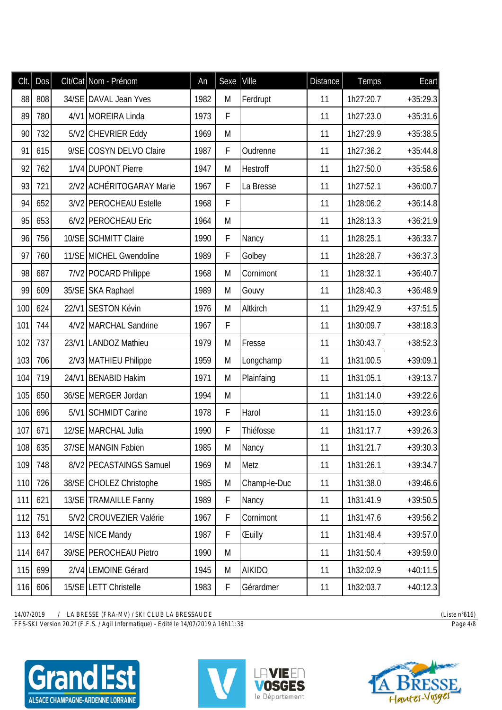| Clt. | Dos | Clt/Cat Nom - Prénom     | An   | Sexe        | Ville         | <b>Distance</b> | <b>Temps</b> | Ecart      |
|------|-----|--------------------------|------|-------------|---------------|-----------------|--------------|------------|
| 88   | 808 | 34/SE DAVAL Jean Yves    | 1982 | M           | Ferdrupt      | 11              | 1h27:20.7    | $+35:29.3$ |
| 89   | 780 | 4/V1 MOREIRA Linda       | 1973 | F           |               | 11              | 1h27:23.0    | $+35:31.6$ |
| 90   | 732 | 5/V2 CHEVRIER Eddy       | 1969 | M           |               | 11              | 1h27:29.9    | $+35:38.5$ |
| 91   | 615 | 9/SE COSYN DELVO Claire  | 1987 | F           | Oudrenne      | 11              | 1h27:36.2    | $+35:44.8$ |
| 92   | 762 | 1/V4 DUPONT Pierre       | 1947 | M           | Hestroff      | 11              | 1h27:50.0    | $+35:58.6$ |
| 93   | 721 | 2/V2 ACHÉRITOGARAY Marie | 1967 | F           | La Bresse     | 11              | 1h27:52.1    | $+36:00.7$ |
| 94   | 652 | 3/V2 PEROCHEAU Estelle   | 1968 | F           |               | 11              | 1h28:06.2    | $+36:14.8$ |
| 95   | 653 | 6/V2 PEROCHEAU Eric      | 1964 | M           |               | 11              | 1h28:13.3    | $+36:21.9$ |
| 96   | 756 | 10/SE SCHMITT Claire     | 1990 | $\mathsf F$ | Nancy         | 11              | 1h28:25.1    | $+36:33.7$ |
| 97   | 760 | 11/SE MICHEL Gwendoline  | 1989 | F           | Golbey        | 11              | 1h28:28.7    | $+36:37.3$ |
| 98   | 687 | 7/V2 POCARD Philippe     | 1968 | M           | Cornimont     | 11              | 1h28:32.1    | $+36:40.7$ |
| 99   | 609 | 35/SE SKA Raphael        | 1989 | M           | Gouvy         | 11              | 1h28:40.3    | $+36:48.9$ |
| 100  | 624 | 22/V1 SESTON Kévin       | 1976 | M           | Altkirch      | 11              | 1h29:42.9    | $+37:51.5$ |
| 101  | 744 | 4/V2 MARCHAL Sandrine    | 1967 | F           |               | 11              | 1h30:09.7    | $+38:18.3$ |
| 102  | 737 | 23/V1 LANDOZ Mathieu     | 1979 | M           | Fresse        | 11              | 1h30:43.7    | $+38:52.3$ |
| 103  | 706 | 2/V3 MATHIEU Philippe    | 1959 | M           | Longchamp     | 11              | 1h31:00.5    | $+39:09.1$ |
| 104  | 719 | 24/V1 BENABID Hakim      | 1971 | M           | Plainfaing    | 11              | 1h31:05.1    | $+39:13.7$ |
| 105  | 650 | 36/SE MERGER Jordan      | 1994 | M           |               | 11              | 1h31:14.0    | $+39:22.6$ |
| 106  | 696 | 5/V1 SCHMIDT Carine      | 1978 | F           | Harol         | 11              | 1h31:15.0    | $+39:23.6$ |
| 107  | 671 | 12/SE MARCHAL Julia      | 1990 | F           | Thiéfosse     | 11              | 1h31:17.7    | $+39:26.3$ |
| 108  | 635 | 37/SE MANGIN Fabien      | 1985 | M           | Nancy         | 11              | 1h31:21.7    | $+39:30.3$ |
| 109  | 748 | 8/V2 PECASTAINGS Samuel  | 1969 | M           | Metz          | 11              | 1h31:26.1    | $+39:34.7$ |
| 110  | 726 | 38/SE CHOLEZ Christophe  | 1985 | M           | Champ-le-Duc  | 11              | 1h31:38.0    | $+39:46.6$ |
| 111  | 621 | 13/SE TRAMAILLE Fanny    | 1989 | F           | Nancy         | 11              | 1h31:41.9    | $+39:50.5$ |
| 112  | 751 | 5/V2 CROUVEZIER Valérie  | 1967 | $\mathsf F$ | Cornimont     | 11              | 1h31:47.6    | $+39:56.2$ |
| 113  | 642 | 14/SE NICE Mandy         | 1987 | $\mathsf F$ | <b>Euilly</b> | 11              | 1h31:48.4    | $+39:57.0$ |
| 114  | 647 | 39/SE PEROCHEAU Pietro   | 1990 | M           |               | 11              | 1h31:50.4    | $+39:59.0$ |
| 115  | 699 | 2/V4 LEMOINE Gérard      | 1945 | M           | <b>AIKIDO</b> | 11              | 1h32:02.9    | $+40:11.5$ |
| 116  | 606 | 15/SE LETT Christelle    | 1983 | F           | Gérardmer     | 11              | 1h32:03.7    | $+40:12.3$ |

14/07/2019 / LA BRESSE (FRA-MV) / SKI CLUB LA BRESSAUDE

FFS-SKI Version 20.2f (F.F.S. / Agil Informatique) - Edité le 14/07/2019 à 16h11:38







(Liste  $n^{\circ}616$ ) Page  $4/8$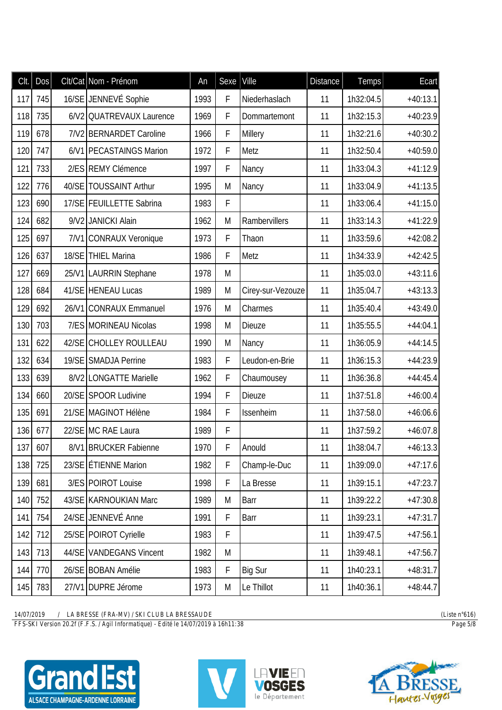| CIt. | <b>Dos</b> |       | Clt/Cat Nom - Prénom     | An   | Sexe        | Ville             | <b>Distance</b> | <b>Temps</b> | Ecart      |
|------|------------|-------|--------------------------|------|-------------|-------------------|-----------------|--------------|------------|
| 117  | 745        |       | 16/SE JENNEVÉ Sophie     | 1993 | F           | Niederhaslach     | 11              | 1h32:04.5    | $+40:13.1$ |
| 118  | 735        |       | 6/V2 QUATREVAUX Laurence | 1969 | F           | Dommartemont      | 11              | 1h32:15.3    | $+40:23.9$ |
| 119  | 678        |       | 7/V2 BERNARDET Caroline  | 1966 | F           | Millery           | 11              | 1h32:21.6    | $+40:30.2$ |
| 120  | 747        |       | 6/V1 PECASTAINGS Marion  | 1972 | F           | Metz              | 11              | 1h32:50.4    | $+40:59.0$ |
| 121  | 733        |       | 2/ES REMY Clémence       | 1997 | F           | Nancy             | 11              | 1h33:04.3    | $+41:12.9$ |
| 122  | 776        |       | 40/SE TOUSSAINT Arthur   | 1995 | M           | Nancy             | 11              | 1h33:04.9    | $+41:13.5$ |
| 123  | 690        |       | 17/SE FEUILLETTE Sabrina | 1983 | F           |                   | 11              | 1h33:06.4    | $+41:15.0$ |
| 124  | 682        |       | 9/V2 JANICKI Alain       | 1962 | M           | Rambervillers     | 11              | 1h33:14.3    | $+41:22.9$ |
| 125  | 697        |       | 7/V1 CONRAUX Veronique   | 1973 | F           | Thaon             | 11              | 1h33:59.6    | $+42:08.2$ |
| 126  | 637        |       | 18/SE THIEL Marina       | 1986 | F           | Metz              | 11              | 1h34:33.9    | $+42:42.5$ |
| 127  | 669        |       | 25/V1 LAURRIN Stephane   | 1978 | M           |                   | 11              | 1h35:03.0    | $+43:11.6$ |
| 128  | 684        |       | 41/SE HENEAU Lucas       | 1989 | M           | Cirey-sur-Vezouze | 11              | 1h35:04.7    | $+43:13.3$ |
| 129  | 692        | 26/N1 | <b>CONRAUX Emmanuel</b>  | 1976 | M           | Charmes           | 11              | 1h35:40.4    | $+43:49.0$ |
| 130  | 703        |       | 7/ES MORINEAU Nicolas    | 1998 | M           | <b>Dieuze</b>     | 11              | 1h35:55.5    | $+44:04.1$ |
| 131  | 622        |       | 42/SE CHOLLEY ROULLEAU   | 1990 | M           | Nancy             | 11              | 1h36:05.9    | $+44:14.5$ |
| 132  | 634        |       | 19/SE SMADJA Perrine     | 1983 | F           | Leudon-en-Brie    | 11              | 1h36:15.3    | $+44:23.9$ |
| 133  | 639        |       | 8/V2 LONGATTE Marielle   | 1962 | F           | Chaumousey        | 11              | 1h36:36.8    | $+44:45.4$ |
| 134  | 660        |       | 20/SE SPOOR Ludivine     | 1994 | $\mathsf F$ | <b>Dieuze</b>     | 11              | 1h37:51.8    | $+46:00.4$ |
| 135  | 691        |       | 21/SE MAGINOT Hélène     | 1984 | F           | Issenheim         | 11              | 1h37:58.0    | $+46:06.6$ |
| 136  | 677        |       | 22/SE MC RAE Laura       | 1989 | F           |                   | 11              | 1h37:59.2    | $+46:07.8$ |
| 137  | 607        |       | 8/V1 BRUCKER Fabienne    | 1970 | F           | Anould            | 11              | 1h38:04.7    | $+46:13.3$ |
| 138  | 725        |       | 23/SE ETIENNE Marion     | 1982 | F           | Champ-le-Duc      | 11              | 1h39:09.0    | $+47:17.6$ |
| 139  | 681        |       | 3/ES POIROT Louise       | 1998 | F           | La Bresse         | 11              | 1h39:15.1    | $+47:23.7$ |
| 140  | 752        |       | 43/SE KARNOUKIAN Marc    | 1989 | M           | Barr              | 11              | 1h39:22.2    | $+47:30.8$ |
| 141  | 754        |       | 24/SE JENNEVÉ Anne       | 1991 | $\mathsf F$ | Barr              | 11              | 1h39:23.1    | $+47:31.7$ |
| 142  | 712        |       | 25/SE POIROT Cyrielle    | 1983 | F           |                   | 11              | 1h39:47.5    | $+47:56.1$ |
| 143  | 713        |       | 44/SE VANDEGANS Vincent  | 1982 | M           |                   | 11              | 1h39:48.1    | $+47:56.7$ |
| 144  | 770        |       | 26/SE BOBAN Amélie       | 1983 | F           | <b>Big Sur</b>    | 11              | 1h40:23.1    | $+48:31.7$ |
| 145  | 783        |       | 27/V1 DUPRE Jérome       | 1973 | M           | Le Thillot        | 11              | 1h40:36.1    | $+48:44.7$ |

*FFS-SKI Version 20.2f (F.F.S. / Agil Informatique) - Edité le 14/07/2019 à 16h11:38 Page 5/8*





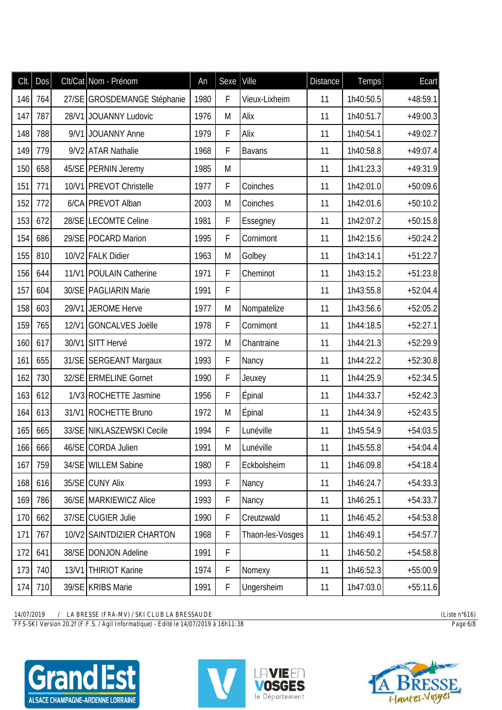| Clt. | Dos |       | Clt/Cat Nom - Prénom        | An   | Sexe        | Ville            | <b>Distance</b> | <b>Temps</b> | Ecart      |
|------|-----|-------|-----------------------------|------|-------------|------------------|-----------------|--------------|------------|
| 146  | 764 |       | 27/SE GROSDEMANGE Stéphanie | 1980 | F           | Vieux-Lixheim    | 11              | 1h40:50.5    | $+48:59.1$ |
| 147  | 787 | 28/V1 | <b>JOUANNY Ludovic</b>      | 1976 | M           | Alix             | 11              | 1h40:51.7    | $+49:00.3$ |
| 148  | 788 |       | 9/V1 JOUANNY Anne           | 1979 | F           | Alix             | 11              | 1h40:54.1    | $+49:02.7$ |
| 149  | 779 |       | 9/V2 ATAR Nathalie          | 1968 | F           | <b>Bavans</b>    | 11              | 1h40:58.8    | $+49:07.4$ |
| 150  | 658 |       | 45/SE PERNIN Jeremy         | 1985 | M           |                  | 11              | 1h41:23.3    | $+49:31.9$ |
| 151  | 771 |       | 10/V1 PREVOT Christelle     | 1977 | F           | Coinches         | 11              | 1h42:01.0    | $+50:09.6$ |
| 152  | 772 |       | 6/CA PREVOT Alban           | 2003 | M           | Coinches         | 11              | 1h42:01.6    | $+50:10.2$ |
| 153  | 672 |       | 28/SE LECOMTE Celine        | 1981 | F           | Essegney         | 11              | 1h42:07.2    | $+50:15.8$ |
| 154  | 686 |       | 29/SE POCARD Marion         | 1995 | F           | Cornimont        | 11              | 1h42:15.6    | $+50:24.2$ |
| 155  | 810 |       | 10/V2 FALK Didier           | 1963 | M           | Golbey           | 11              | 1h43:14.1    | $+51:22.7$ |
| 156  | 644 |       | 11/V1 POULAIN Catherine     | 1971 | $\mathsf F$ | Cheminot         | 11              | 1h43:15.2    | $+51:23.8$ |
| 157  | 604 |       | 30/SE   PAGLIARIN Marie     | 1991 | F           |                  | 11              | 1h43:55.8    | $+52:04.4$ |
| 158  | 603 |       | 29/V1 JEROME Herve          | 1977 | M           | Nompatelize      | 11              | 1h43:56.6    | $+52:05.2$ |
| 159  | 765 |       | 12/V1 GONCALVES Joëlle      | 1978 | F           | Cornimont        | 11              | 1h44:18.5    | $+52:27.1$ |
| 160  | 617 |       | 30/V1 SITT Hervé            | 1972 | M           | Chantraine       | 11              | 1h44:21.3    | $+52:29.9$ |
| 161  | 655 |       | 31/SE SERGEANT Margaux      | 1993 | $\mathsf F$ | Nancy            | 11              | 1h44:22.2    | $+52:30.8$ |
| 162  | 730 |       | 32/SE ERMELINE Gornet       | 1990 | F           | Jeuxey           | 11              | 1h44:25.9    | $+52:34.5$ |
| 163  | 612 |       | 1/V3 ROCHETTE Jasmine       | 1956 | $\mathsf F$ | Épinal           | 11              | 1h44:33.7    | $+52:42.3$ |
| 164  | 613 |       | 31/V1 ROCHETTE Bruno        | 1972 | M           | Épinal           | 11              | 1h44:34.9    | $+52:43.5$ |
| 165  | 665 |       | 33/SE NIKLASZEWSKI Cecile   | 1994 | F           | Lunéville        | 11              | 1h45:54.9    | $+54:03.5$ |
| 166  | 666 |       | 46/SE CORDA Julien          | 1991 | M           | Lunéville        | 11              | 1h45:55.8    | $+54:04.4$ |
| 167  | 759 |       | 34/SE WILLEM Sabine         | 1980 | F           | Eckbolsheim      | 11              | 1h46:09.8    | $+54:18.4$ |
| 168  | 616 |       | 35/SE CUNY Alix             | 1993 | $\mathsf F$ | Nancy            | 11              | 1h46:24.7    | $+54:33.3$ |
| 169  | 786 |       | 36/SE MARKIEWICZ Alice      | 1993 | $\mathsf F$ | Nancy            | 11              | 1h46:25.1    | $+54:33.7$ |
| 170  | 662 |       | 37/SE CUGIER Julie          | 1990 | $\mathsf F$ | Creutzwald       | 11              | 1h46:45.2    | $+54:53.8$ |
| 171  | 767 |       | 10/V2 SAINTDIZIER CHARTON   | 1968 | $\mathsf F$ | Thaon-les-Vosges | 11              | 1h46:49.1    | $+54:57.7$ |
| 172  | 641 |       | 38/SE DONJON Adeline        | 1991 | $\mathsf F$ |                  | 11              | 1h46:50.2    | $+54:58.8$ |
| 173  | 740 |       | 13/V1 THIRIOT Karine        | 1974 | $\mathsf F$ | Nomexy           | 11              | 1h46:52.3    | $+55:00.9$ |
| 174  | 710 |       | 39/SE KRIBS Marie           | 1991 | F           | Ungersheim       | 11              | 1h47:03.0    | $+55:11.6$ |

*FFS-SKI Version 20.2f (F.F.S. / Agil Informatique) - Edité le 14/07/2019 à 16h11:38 Page 6/8*





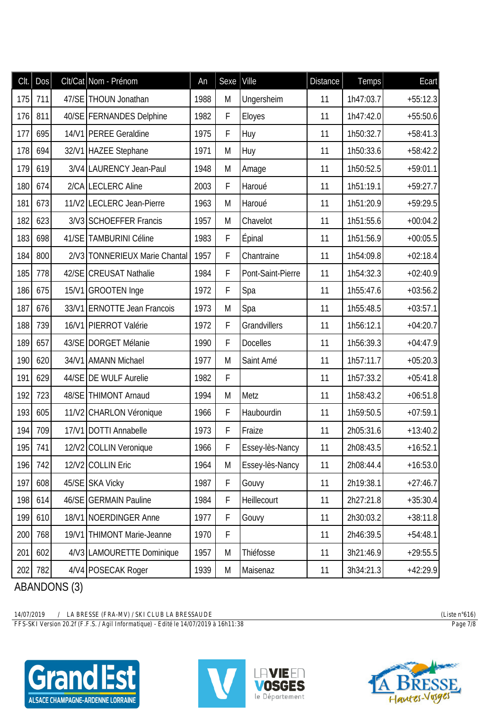| CIt. | Dos     |       | Clt/Cat Nom - Prénom          | An   | Sexe        | Ville             | <b>Distance</b> | <b>Temps</b> | Ecart      |
|------|---------|-------|-------------------------------|------|-------------|-------------------|-----------------|--------------|------------|
| 175  | 711     |       | 47/SE THOUN Jonathan          | 1988 | M           | Ungersheim        | 11              | 1h47:03.7    | $+55:12.3$ |
| 176  | 811     |       | 40/SE   FERNANDES Delphine    | 1982 | F           | Eloyes            | 11              | 1h47:42.0    | $+55:50.6$ |
| 177  | 695     |       | 14/V1 PEREE Geraldine         | 1975 | F           | Huy               | 11              | 1h50:32.7    | $+58:41.3$ |
| 178  | 694     |       | 32/V1 HAZEE Stephane          | 1971 | M           | Huy               | 11              | 1h50:33.6    | $+58:42.2$ |
| 179  | 619     |       | 3/V4 LAURENCY Jean-Paul       | 1948 | M           | Amage             | 11              | 1h50:52.5    | $+59:01.1$ |
| 180  | 674     |       | 2/CA LECLERC Aline            | 2003 | $\mathsf F$ | Haroué            | 11              | 1h51:19.1    | $+59:27.7$ |
| 181  | 673     |       | 11/V2 LECLERC Jean-Pierre     | 1963 | M           | Haroué            | 11              | 1h51:20.9    | $+59:29.5$ |
| 182  | 623     |       | 3/V3 SCHOEFFER Francis        | 1957 | M           | Chavelot          | 11              | 1h51:55.6    | $+00:04.2$ |
| 183  | 698     |       | 41/SE TAMBURINI Céline        | 1983 | F           | Épinal            | 11              | 1h51:56.9    | $+00:05.5$ |
| 184  | 800     |       | 2/V3 TONNERIEUX Marie Chantal | 1957 | F           | Chantraine        | 11              | 1h54:09.8    | $+02:18.4$ |
| 185  | 778     |       | 42/SE CREUSAT Nathalie        | 1984 | F           | Pont-Saint-Pierre | 11              | 1h54:32.3    | $+02:40.9$ |
| 186  | 675     |       | 15/V1 GROOTEN Inge            | 1972 | F           | Spa               | 11              | 1h55:47.6    | $+03:56.2$ |
| 187  | 676     |       | 33/V1 ERNOTTE Jean Francois   | 1973 | M           | Spa               | 11              | 1h55:48.5    | $+03:57.1$ |
| 188  | 739     |       | 16/V1 PIERROT Valérie         | 1972 | F           | Grandvillers      | 11              | 1h56:12.1    | $+04:20.7$ |
| 189  | 657     |       | 43/SE DORGET Mélanie          | 1990 | F           | <b>Docelles</b>   | 11              | 1h56:39.3    | $+04:47.9$ |
| 190  | 620     |       | 34/V1 AMANN Michael           | 1977 | M           | Saint Amé         | 11              | 1h57:11.7    | $+05:20.3$ |
| 191  | 629     |       | 44/SE DE WULF Aurelie         | 1982 | F           |                   | 11              | 1h57:33.2    | $+05:41.8$ |
| 192  | 723     |       | 48/SE THIMONT Arnaud          | 1994 | M           | Metz              | 11              | 1h58:43.2    | $+06:51.8$ |
| 193  | 605     |       | 11/V2 CHARLON Véronique       | 1966 | F           | Haubourdin        | 11              | 1h59:50.5    | $+07:59.1$ |
| 194  | 709     |       | 17/V1 DOTTI Annabelle         | 1973 | F           | Fraize            | 11              | 2h05:31.6    | $+13:40.2$ |
|      | 195 741 |       | 12/V2 COLLIN Veronique        | 1966 | F           | Essey-lès-Nancy   | 11              | 2h08:43.5    | $+16:52.1$ |
| 196  | 742     |       | 12/V2 COLLIN Eric             | 1964 | M           | Essey-lès-Nancy   | 11              | 2h08:44.4    | $+16:53.0$ |
| 197  | 608     |       | 45/SE SKA Vicky               | 1987 | $\mathsf F$ | Gouvy             | 11              | 2h19:38.1    | $+27:46.7$ |
| 198  | 614     |       | 46/SE GERMAIN Pauline         | 1984 | $\mathsf F$ | Heillecourt       | 11              | 2h27:21.8    | $+35:30.4$ |
| 199  | 610     |       | 18/V1 NOERDINGER Anne         | 1977 | $\mathsf F$ | Gouvy             | 11              | 2h30:03.2    | $+38:11.8$ |
| 200  | 768     | 19/11 | <b>THIMONT Marie-Jeanne</b>   | 1970 | F           |                   | 11              | 2h46:39.5    | $+54:48.1$ |
| 201  | 602     |       | 4/V3 LAMOURETTE Dominique     | 1957 | M           | Thiéfosse         | 11              | 3h21:46.9    | $+29:55.5$ |
| 202  | 782     |       | 4/V4 POSECAK Roger            | 1939 | M           | Maisenaz          | 11              | 3h34:21.3    | $+42:29.9$ |

**ABANDONS (3)** 

 $\frac{14/07/2019}{FFS-SKI\ Version\ 20.2f(F.F.S. / Agil\ Information\ 20.48RESSAUDE)}$ 







(Liste  $n^{\circ}616$ ) Page 7/8